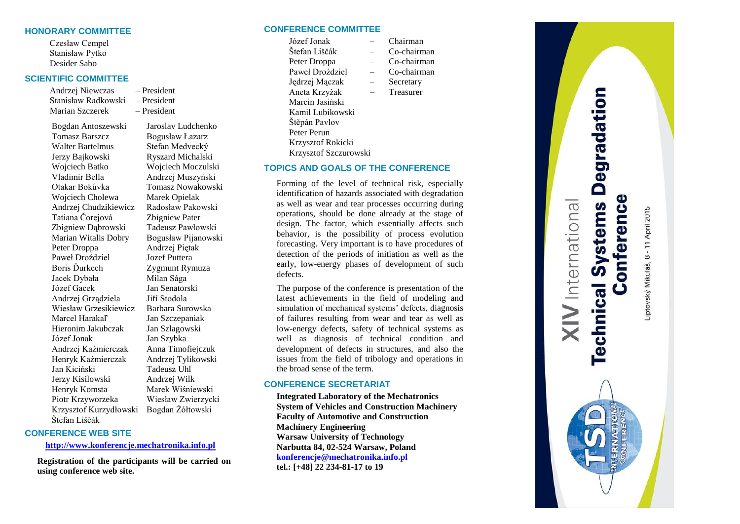## **HONORARY COMMITTEE**

Czesław Cempel Stanisław Pytko Desider Sabo

# **SCIENTIFIC COMMITTEE**

Andrzej Niewczas – President Stanisław Radkowski – President Marian Szczerek – President

Bogdan Antoszewski Jaroslav Ludchenko Tomasz Barszcz Bogusław Łazarz Walter Bartelmus Stefan Medvecký Jerzy Bajkowski Ryszard Michalski Wojciech Batko Wojciech Moczulski Vladimír Bella Andrzej Muszyński Otakar Bokůvka Tomasz Nowakowski Wojciech Cholewa Marek Opielak Andrzej Chudzikiewicz Radosław Pakowski Tatiana Čorejová Zbigniew Pater<br>Zbigniew Dabrowski Tadeusz Pawłowski Zbigniew Dabrowski Marian Witalis Dobry Bogusław Pijanowski Peter Droppa Andrzej Piętak Paweł Droździel Jozef Puttera Boris Ďurkech Zygmunt Rymuza Jacek Dybała Milan Sága Józef Gacek Jan Senatorski Andrzej Grządziela Jiří Stodola Wiesław Grzesikiewicz Barbara Surowska Marcel Harakaľ Jan Szczepaniak Hieronim Jakubczak Jan Szlagowski Józef Jonak Jan Szybka Andrzej Kaźmierczak Anna Timofiejczuk Henryk Kaźmierczak Andrzej Tylikowski Jan Kiciński Tadeusz Uhl Jerzy Kisilowski Andrzej Wilk Henryk Komsta Marek Wiśniewski Piotr Krzyworzeka Wiesław Zwierzycki Krzysztof Kurzydłowski Bogdan Żółtowski Štefan Liščák

# **CONFERENCE WEB SITE**

#### **[http://www.konferencje.mechatronika.info.pl](http://www.konferencje.mechatronika.info.pl/)**

**Registration of the participants will be carried on using conference web site.** 

### **CONFERENCE COMMITTEE**

Marcin Jasiński Kamil Lubikowski Štěpán Pavlov Peter Perun Krzysztof Rokicki Krzysztof Szczurowski

defects.

the broad sense of the term. **CONFERENCE SECRETARIAT**

**Machinery Engineering**

Józef Jonak – Chairman Štefan Liščák – Co-chairman Peter Droppa – Co-chairman Paweł Droździel – Co-chairman Jędrzej Mączak – Secretary Aneta Krzyżak – Treasurer

**TOPICS AND GOALS OF THE CONFERENCE**

Forming of the level of technical risk, especially identification of hazards associated with degradation as well as wear and tear processes occurring during operations, should be done already at the stage of design. The factor, which essentially affects such behavior, is the possibility of process evolution forecasting. Very important is to have procedures of detection of the periods of initiation as well as the early, low-energy phases of development of such

The purpose of the conference is presentation of the latest achievements in the field of modeling and simulation of mechanical systems' defects, diagnosis of failures resulting from wear and tear as well as low-energy defects, safety of technical systems as well as diagnosis of technical condition and development of defects in structures, and also the issues from the field of tribology and operations in

**Integrated Laboratory of the Mechatronics System of Vehicles and Construction Machinery**

**Faculty of Automotive and Construction** 

**Warsaw University of Technology Narbutta 84, 02-524 Warsaw, Poland konferencje@mechatronika.info.pl tel.: [+48] 22 234-81-17 to 19**

- 
- 
- 

**Technical Systems Degradation** Conference **XIV** International Liptovský Mikuláš, 8 - 11 April 2015